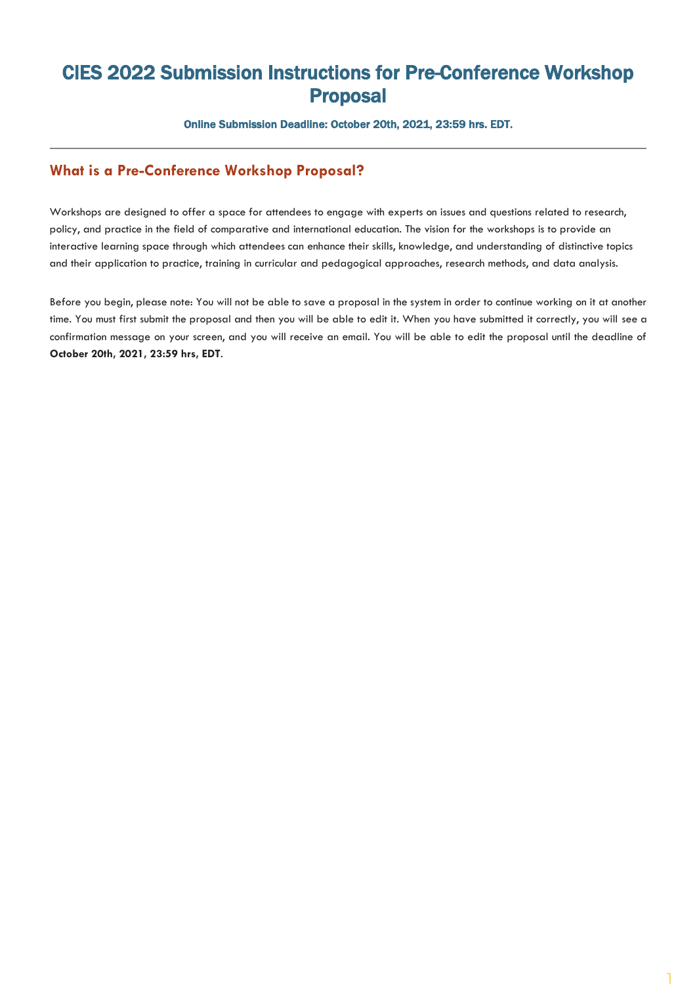## CIES 2022 Submission Instructions for Pre-Conference Workshop Proposal

Online Submission Deadline: October 20th, 2021, 23:59 hrs. EDT.

## **What is a Pre-Conference Workshop Proposal?**

Workshops are designed to offer a space for attendees to engage with experts on issues and questions related to research, policy, and practice in the field of comparative and international education. The vision for the workshops is to provide an interactive learning space through which attendees can enhance their skills, knowledge, and understanding of distinctive topics and their application to practice, training in curricular and pedagogical approaches, research methods, and data analysis.

Before you begin, please note: You will not be able to save a proposal in the system in order to continue working on it at another time. You must first submit the proposal and then you will be able to edit it. When you have submitted it correctly, you will see a confirmation message on your screen, and you will receive an email. You will be able to edit the proposal until the deadline of **October 20th, 2021, 23:59 hrs, EDT**.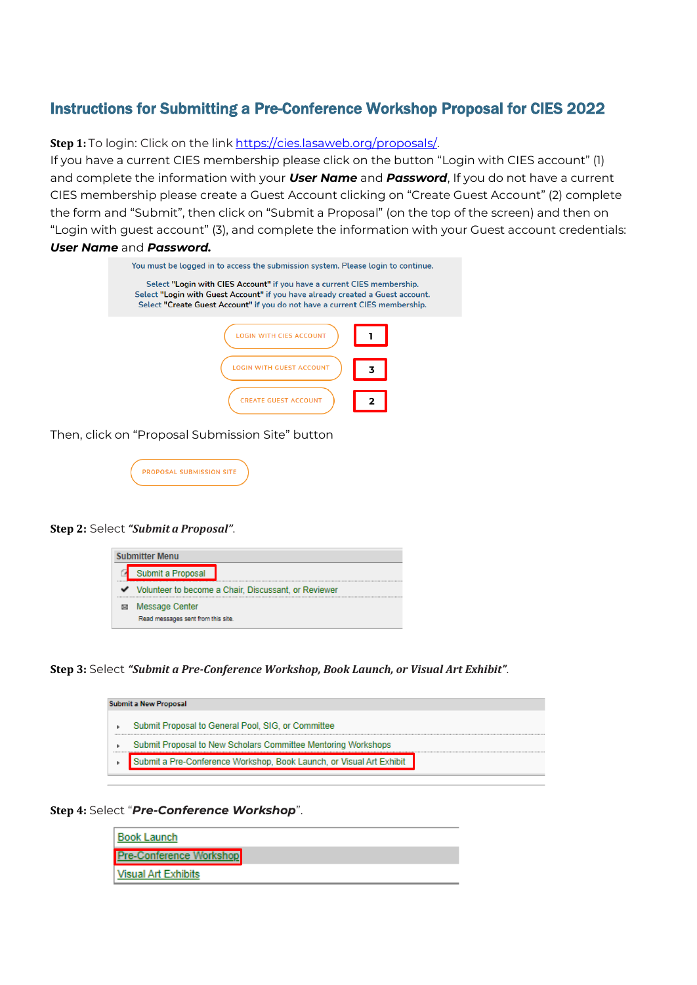## Instructions for Submitting a Pre-Conference Workshop Proposal for CIES 2022

**Step 1:** To login: Click on the link [https://cies.lasaweb.org/proposals/.](https://cies.lasaweb.org/proposals/)

If you have a current CIES membership please click on the button "Login with CIES account" (1) and complete the information with your *User Name* and *Password*, If you do not have a current CIES membership please create a Guest Account clicking on "Create Guest Account" (2) complete the form and "Submit", then click on "Submit a Proposal" (on the top of the screen) and then on "Login with guest account" (3), and complete the information with your Guest account credentials: *User Name* and *Password.*

| You must be logged in to access the submission system. Please login to continue.                                                                                                                                                         |  |
|------------------------------------------------------------------------------------------------------------------------------------------------------------------------------------------------------------------------------------------|--|
| Select "Login with CIES Account" if you have a current CIES membership.<br>Select "Login with Guest Account" if you have already created a Guest account.<br>Select "Create Guest Account" if you do not have a current CIES membership. |  |
| WITH CIES ACCOUNT                                                                                                                                                                                                                        |  |
| <b>ITH GUEST A</b><br>3                                                                                                                                                                                                                  |  |
| <b>CREATE GUEST ACCOUNT</b>                                                                                                                                                                                                              |  |

Then, click on "Proposal Submission Site" button



## **Step 2:** Select *"Submit a Proposal"*.

| <b>Submitter Menu</b> |                                                        |  |  |  |  |  |
|-----------------------|--------------------------------------------------------|--|--|--|--|--|
|                       | Submit a Proposal                                      |  |  |  |  |  |
|                       | V Volunteer to become a Chair, Discussant, or Reviewer |  |  |  |  |  |
|                       | Message Center<br>Read messages sent from this site.   |  |  |  |  |  |

**Step 3:** Select *"Submit a Pre-Conference Workshop, Book Launch, or Visual Art Exhibit"*.

| <b>Submit a New Proposal</b> |                                                                      |  |  |  |  |  |  |
|------------------------------|----------------------------------------------------------------------|--|--|--|--|--|--|
|                              | Submit Proposal to General Pool, SIG, or Committee                   |  |  |  |  |  |  |
|                              | Submit Proposal to New Scholars Committee Mentoring Workshops        |  |  |  |  |  |  |
|                              | Submit a Pre-Conference Workshop, Book Launch, or Visual Art Exhibit |  |  |  |  |  |  |
|                              |                                                                      |  |  |  |  |  |  |

**Step 4:** Select "*Pre-Conference Workshop*".

| <b>Book Launch</b>             |  |
|--------------------------------|--|
| <b>Pre-Conference Workshop</b> |  |
| Visual Art Exhibits            |  |